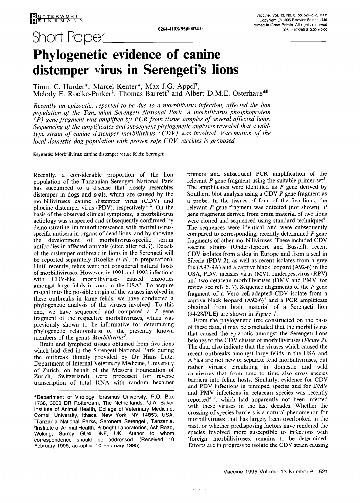Short Paper

## **Phylogenetic evidence of canine distemper virus in Serengeti's lions**

Timm C. Harder\*, Marcel Kenter\*, Max J.G. Appel<sup>†</sup>, Melody E. Roelke-Parker<sup>‡</sup>, Thomas Barrett<sup>§</sup> and Albert D.M.E. Osterhaus<sup>\*II</sup>

*Recently an epizootic, reported to be due to a morbillivirus infection, affected the lion population of the Tanzanian Serengeti National Park. A morbillivirus phosphoprotein*   $\hat{P}(P)$  gene fragment was amplified by PCR from tissue samples of several affected lions. Sequencing of the amplificates and subsequent phylogenetic analyses revealed that a wild*type strain of canine distemper morbillivirus (CD V) was involved. Vaccination of the local domestic dog population with proven safe CDV vaccines is proposed.* 

Keywords: Morbillivirus; canine distemper virus; felids; Serengeti

Recently, a considerable proportion of the lion population of the Tanzanian Serengeti National Park has succumbed to a disease that closely resembles distemper in dogs and seals, which are caused by the morbilliviruses canine distemper virus (CDV) and phocine distemper virus (PDV), respectively<sup>1, 2</sup>. On the basis of the observed clinical symptoms, a morbillivirus aetiology was suspected and subsequently confirmed by demonstrating immunofluorescence with morbillivirusspecific antisera in organs of dead lions, and by showing the development of morbillivirus-specific serum antibodies in affected animals (cited after ref.3). Details of the distemper outbrealk in lions in the Serengeti will be reported separately (Roelke *et al.,* in preparation). Until recently, felids were not considered natural hosts of morbilliviruses. However, in 1991 and 1992 infections with CDV-like morbilliviruses caused enzootics amongst large felids in zoos in the USA<sup>4</sup>. To acquire insight into the possible origin of the viruses involved in these outbreaks in large felids, we have conducted a phylogenetic analysis of the viruses involved. To this end, we have sequenced and compared a *P* gene fragment of the respective morbilliviruses, which was previously shown to be informative for determining phylogenetic relationships of the presently known members of the genus *Morbillivirus*<sup>5</sup>.

Brain and lymphoid tissues obtained from five lions which had died in the Serengeti National Park during the outbreak (kindly provided by Dr Hans Lutz, Department of Internal Veterinary Medicine, University of Zurich, on behalf of the Messerli Foundation of Zurich, Switzerland) were processed for reverse transcription of total RNA with random hexamer

primers and subsequent PCR amplification of the relevant  $P$  gene fragment using the suitable primer set<sup>5</sup>. The amplificates were identified as *P* gene derived by Southern blot analysis using a CDV *P* gene fragment as a probe. In the tissues of four of the five lions, the relevant *P* gene fragment was detected (not shown). *P*  gene fragments derived from brain material of two lions were cloned and sequenced using standard techniques<sup>6</sup>. The sequences were identical and were subsequently compared to corresponding, recently determined *P* gene fragments of other morbilliviruses. These included CDV vaccine strains (Onderstepoort and Bussell), recent CDV isolates from a dog in Europe and from a seal in Siberia (PDV-2), as well as recent isolates from a grey fox (A92-9A) and a captive black leopard (A92-6) in the USA, PDV, measles virus (MV), rinderpestvirus (RPV) and two cetacean morbilliviruses (DMV and PMV, for review see refs 5, 7). Sequence alignments of the *P* gene fragment of a Vero cell-adapted CDV isolate from a captive black leopard  $(A92-6)^4$  and a PCR amplificate obtained from brain material of a Serengeti lion (94-28/PLE) are shown in *Figure 1.* 

From the phylogenetic tree constructed on the basis of these data, it may be concluded that the morbillivirus that caused the epizootic amongst the Serengeti lions belongs to the CDV cluster of morbilliviruses *(Figure 2).*  The data also indicate that the viruses which caused the recent outbreaks amongst large felids in the USA and Africa are not new or separate felid morbilliviruses, but rather viruses circulating in domestic and wild carnivores that from time to time also cross species barriers into feline hosts. Similarly, evidence for CDV and PDV infections in pinniped species and for DMV and PMV infections in cetacean species was recently reported<sup>2, 7</sup>, which had apparently not been infected with these viruses in the last decades. Whether the crossing of species barriers is a natural phenomenon for morbilliviruses that has largely been overlooked in the past, or whether predisposing factors have rendered the species involved more susceptible to infections with 'foreign' morbilliviruses, remains to be determined. Efforts are in progress to isolate the CDV strain causing

 $\alpha$  ,  $\alpha$  ,  $\beta$  ,  $\beta$  ,  $\alpha$ 

<sup>\*</sup>Department of Virology, Erasmus University, P.O. Box 1738, 3000 DR Rotterdam, The Netherlands. +J.A. Baker Institute of Animal Health, College of Veterinary Medicine, Cornell University, Ithaca. New York, NY 14853, USA. <sup>‡</sup>Tanzania National Parks, Seronera Serengeti, Tanzania. "Institute of Animal Health, IPirbright Laboratories, Ash Road, Woking, Surrey GU4 ONF, UK. Author to whom correspondence should be addressed. (Received IO February 1995; accepted IO February 1995)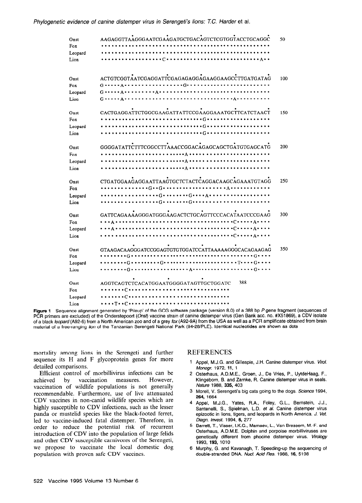| Onst    | AAGAGGTTAAGGGAATCGAAGATGCTGACAGTCTCGTGGTACCTGCAGGC                                          | 50  |
|---------|---------------------------------------------------------------------------------------------|-----|
| Fox     |                                                                                             |     |
| Leopard |                                                                                             |     |
| Lion    | .                                                                                           |     |
|         |                                                                                             |     |
| Onst    | ACTGTCGGTAATCGAGGATTCGAGAGAGGAGAAGGAAGCCTTGATGATAG                                          | 100 |
| Fox     |                                                                                             |     |
| Leopard |                                                                                             |     |
| Lion    | . <u>.</u> A<br>G • • • • • A • • • • • • • • • •                                           |     |
| Onst    | CACTGAGGATTCTGGCGAAGATTATTCCGAAGGAAATGCTTCATCTAACT                                          | 150 |
| Fox     | <br>$\cdot$ G<br>$\bullet\bullet\bullet$                                                    |     |
|         | .<br>$\bullet\bullet\bullet$                                                                |     |
| Leopard |                                                                                             |     |
| Lion    |                                                                                             |     |
| Onst    | GGGGATATTCTTTCGGCCTTAAACCGGACAGAGCAGCTGATGTGAGCATG                                          | 200 |
| Fox     | . <b>A</b>                                                                                  |     |
| Leopard |                                                                                             |     |
| Lion    |                                                                                             |     |
| Onst    | CTGATGGAAGAGGAATTAAGTGCTCTACTCAGGACAAGCAGAAATGTAGG                                          | 250 |
| Fox     |                                                                                             |     |
| Leopard | $\cdots G \cdots \cdots \cdots G \cdots A \cdots \cdots \cdots$                             |     |
| Lion    |                                                                                             |     |
|         |                                                                                             |     |
| Onst    | GATTCAGAAAAGGGATGGGAAGACTCTGCAGTTCCCACATAATCCCGAAG                                          | 300 |
| Fox     | . <u>.</u><br>.                                                                             |     |
| Leopard | $\cdot$ $\circ$ $\cdot$ $\cdot$ $\cdot$ $\wedge$ $\cdot$ $\cdot$ $\cdot$                    |     |
| Lion    | $\bullet$ + $C \bullet \bullet \bullet \bullet \bullet$ $A \bullet \bullet \bullet \bullet$ |     |
| Onst    | GTAAGACAAGGGATCCGGAGTGTGTGGATCCATTAAAAAGGGCACAGAAGAG                                        | 350 |
| Fox     | . G .                                                                                       |     |
| Leopard | $\cdot$ G $\cdot$                                                                           |     |
| Lion    | . <b>A</b> .<br>$\cdot$ G $\cdot$ $\cdot$ $\cdot$<br>. G <b>.</b>                           |     |
|         |                                                                                             |     |
| Onst    | 388<br>AGGTCAGTCTCACATGGAATGGGGATAGTTGCTGGATC                                               |     |
| Fox     | .<br>.                                                                                      |     |
| Leopard |                                                                                             |     |
| Lion    | * * * * T * * C * * * *                                                                     |     |

Figure 1 Sequence alignment generated by 'Pileup' of the GCG software package (version 8.0) of a 388 bp P gene fragment (sequences of PCR primers are excluded) of the Onderstepoort (Onst) vaccine strain of canine distemper virus (Gen Bank acc. no. #X51869), a CDV isolate of a black leopard (A92-6) from a North American zoo and of a grey *fox* (A92-9A) from the USA as well as a PCR amplificate obtained from brain material of a free-ranging lion of the Tanzanian Serengeti National Park (94-28/PLE). Identical nucleotides are shown as dots

mortality among lions in the Serengeti and further sequence its H and F glycoprotein genes for more detailed comparisons.

Efficient control of morbillivirus infections can be achieved by vaccination measures. However, vaccination of wildlife populations is not generally recommendable. Furthermore, use of live attenuated CDV vaccines in non-canid wildlife species which are highly susceptible to CDV infections, such as the lesser panda or mustelid species like the black-footed ferret, led to vaccine-induced fatal distemper. Therefore, in order to reduce the potential risk of recurrent introduction of CDV into the population of large felids and other CDV susceptible carnivores of the Serengeti, we propose to vaccinate the local domestic dog population with proven safe CDV vaccines.

## REFERENCES

- Appel, M.J.G. and Gillespie, J.H. Canine distemper virus. Virol. 1. Monogr. 1972, 11, 1
- Osterhaus, A.D.M.E., Groen, J., De Vries, P., UytdeHaag, F., Klingeborn, B. and Zarnke, R. Canine distemper virus in seals. Nature 1988, 335, 403
- Morell, V. Serengeti's big cats going to the dogs. Science 1994, 264, 1664
- Appel, M.J.G., Yates, R.A., Foley, G.L., Bernstein, J.J., Santenelli, S., Spielman, L.D. et al. Canine distemper virus epizootic in lions, tigers, and leopards in North America. J. Vet Diagn. Invest. 1994, 6, 277
- Barrett, T., Visser, I.K.G., Mamaev, L., Van Bressem, M.-F. and Osterhaus, A.D.M.E. Dolphin and porpoise morbilliviruses are genetically different from phocine distemper virus. Virology 1993, 193, 1010
- Murphy, G. and Kavanagh, T. Speeding-up the sequencing of double-stranded DNA. Nucl. Acid Res. 1988, 16, 5198